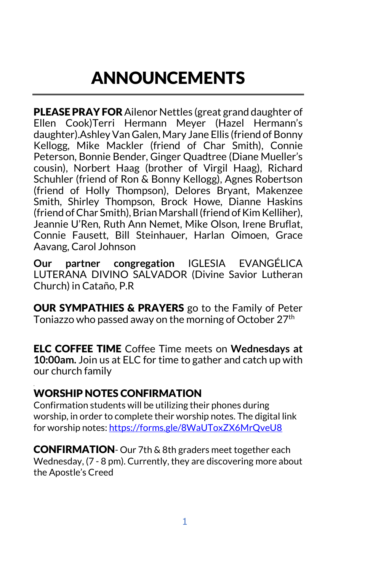# ANNOUNCEMENTS

PLEASE PRAY FOR Ailenor Nettles (great grand daughter of Ellen Cook)Terri Hermann Meyer (Hazel Hermann's daughter).Ashley Van Galen, Mary Jane Ellis (friend of Bonny Kellogg, Mike Mackler (friend of Char Smith), Connie Peterson, Bonnie Bender, Ginger Quadtree (Diane Mueller's cousin), Norbert Haag (brother of Virgil Haag), Richard Schuhler (friend of Ron & Bonny Kellogg), Agnes Robertson (friend of Holly Thompson), Delores Bryant, Makenzee Smith, Shirley Thompson, Brock Howe, Dianne Haskins (friend of Char Smith), Brian Marshall (friend of Kim Kelliher), Jeannie U'Ren, Ruth Ann Nemet, Mike Olson, Irene Bruflat, Connie Fausett, Bill Steinhauer, Harlan Oimoen, Grace Aavang, Carol Johnson

**Our partner congregation** IGLESIA EVANGÉLICA LUTERANA DIVINO SALVADOR (Divine Savior Lutheran Church) in Cataño, P.R

OUR SYMPATHIES & PRAYERS go to the Family of Peter Toniazzo who passed away on the morning of October 27th

ELC COFFEE TIME Coffee Time meets on **Wednesdays at 10:00am.** Join us at ELC for time to gather and catch up with our church family

## WORSHIP NOTES CONFIRMATION

.

Confirmation students will be utilizing their phones during worship, in order to complete their worship notes. The digital link for worship notes:<https://forms.gle/8WaUToxZX6MrQveU8>

**CONFIRMATION**- Our 7th & 8th graders meet together each Wednesday, (7 - 8 pm). Currently, they are discovering more about the Apostle's Creed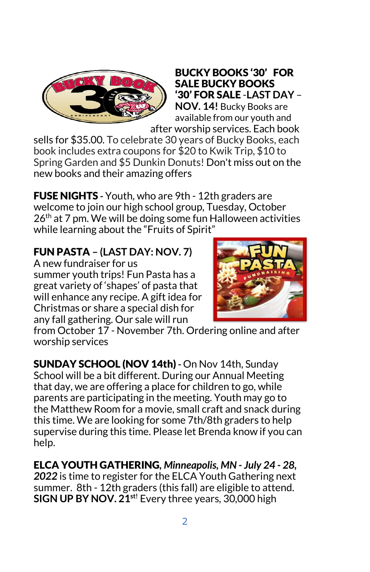

#### BUCKY BOOKS '30' FOR SALE BUCKY BOOKS '30' FOR SALE -**LAST DAY** – **NOV. 14!** Bucky Books are available from our youth and

after worship services. Each book sells for \$35.00. To celebrate 30 years of Bucky Books, each book includes extra coupons for \$20 to Kwik Trip, \$10 to Spring Garden and \$5 Dunkin Donuts! Don't miss out on the new books and their amazing offers

FUSE NIGHTS **-** Youth, who are 9th - 12th graders are welcome to join our high school group, Tuesday, October  $26<sup>th</sup>$  at 7 pm. We will be doing some fun Halloween activities while learning about the "Fruits of Spirit"

## FUN PASTA **– (LAST DAY: NOV. 7)**

A new fundraiser for us summer youth trips! Fun Pasta has a great variety of 'shapes' of pasta that will enhance any recipe. A gift idea for Christmas or share a special dish for any fall gathering. Our sale will run



from October 17 - November 7th. Ordering online and after worship services

SUNDAY SCHOOL (NOV 14th) **-** On Nov 14th, Sunday School will be a bit different. During our Annual Meeting that day, we are offering a place for children to go, while parents are participating in the meeting. Youth may go to the Matthew Room for a movie, small craft and snack during this time. We are looking for some 7th/8th graders to help supervise during this time. Please let Brenda know if you can help.

ELCA YOUTH GATHERING*, Minneapolis, MN - July 24 - 28, 2022* is time to register for the ELCA Youth Gathering next summer. 8th - 12th graders (this fall) are eligible to attend. **SIGN UP BY NOV. 21st!** Every three years, 30,000 high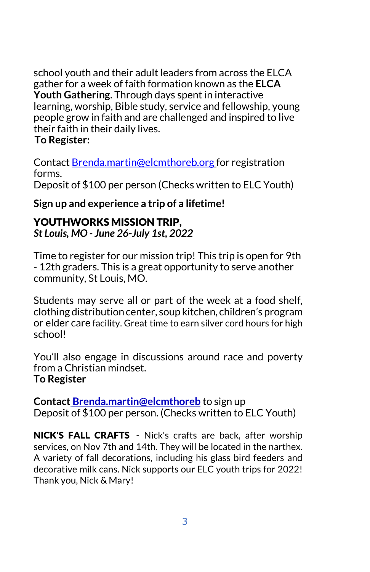school youth and their adult leaders from across the ELCA gather for a week of faith formation known as the **ELCA Youth Gathering**. Through days spent in interactive learning, worship, Bible study, service and fellowship, young people grow in faith and are challenged and inspired to live their faith in their daily lives.

#### **To Register:**

Contact [Brenda.martin@elcmthoreb.org](mailto:Brenda.martin@elcmthoreb.org) for registration forms.

Deposit of \$100 per person (Checks written to ELC Youth)

**Sign up and experience a trip of a lifetime!**

# YOUTHWORKS MISSION TRIP,

*St Louis, MO - June 26-July 1st, 2022*

Time to register for our mission trip! This trip is open for 9th - 12th graders. This is a great opportunity to serve another community, St Louis, MO.

Students may serve all or part of the week at a food shelf, clothing distribution center, soup kitchen, children's program or elder care facility. Great time to earn silver cord hours for high school!

You'll also engage in discussions around race and poverty from a Christian mindset. **To Register**

**Contact [Brenda.martin@elcmthoreb](mailto:Brenda.martin@elcmthoreb)** to sign up Deposit of \$100 per person. (Checks written to ELC Youth)

NICK'S FALL CRAFTS **-** Nick's crafts are back, after worship services, on Nov 7th and 14th. They will be located in the narthex. A variety of fall decorations, including his glass bird feeders and decorative milk cans. Nick supports our ELC youth trips for 2022! Thank you, Nick & Mary!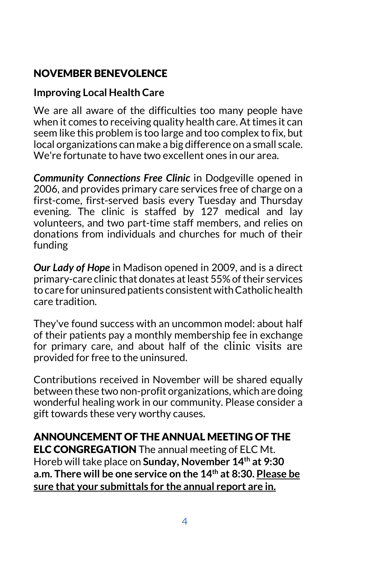# NOVEMBER BENEVOLENCE

#### **Improving Local Health Care**

We are all aware of the difficulties too many people have when it comes to receiving quality health care. At times it can seem like this problem is too large and too complex to fix, but local organizations can make a big difference on a small scale. We're fortunate to have two excellent ones in our area.

*Community Connections Free Clinic* in Dodgeville opened in 2006, and provides primary care services free of charge on a first-come, first-served basis every Tuesday and Thursday evening. The clinic is staffed by 127 medical and lay volunteers, and two part-time staff members, and relies on donations from individuals and churches for much of their funding

*Our Lady of Hope* in Madison opened in 2009, and is a direct primary-care clinic that donates at least 55% of their services to care for uninsured patients consistent with Catholic health care tradition.

They've found success with an uncommon model: about half of their patients pay a monthly membership fee in exchange for primary care, and about half of the clinic visits are provided for free to the uninsured.

Contributions received in November will be shared equally between these two non-profit organizations, which are doing wonderful healing work in our community. Please consider a gift towards these very worthy causes.

# ANNOUNCEMENT OF THE ANNUAL MEETING OF THE

**ELC CONGREGATION** The annual meeting of ELC Mt. Horeb will take place on **Sunday, November 14th at 9:30 a.m. There will be one service on the 14th at 8:30. Please be sure that your submittals for the annual report are in.**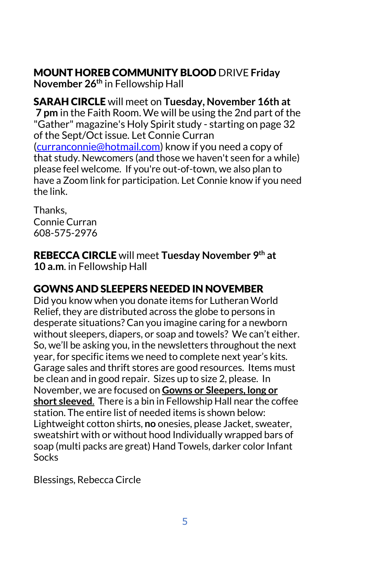# MOUNT HOREB COMMUNITY BLOOD DRIVE **Friday**

**November 26th** in Fellowship Hall

SARAH CIRCLE will meet on **Tuesday, November 16th at 7 pm** in the Faith Room. We will be using the 2nd part of the "Gather" magazine's Holy Spirit study - starting on page 32 of the Sept/Oct issue. Let Connie Curran [\(curranconnie@hotmail.com\)](mailto:curranconnie@hotmail.com) know if you need a copy of that study. Newcomers (and those we haven't seen for a while) please feel welcome. If you're out-of-town, we also plan to have a Zoom link for participation. Let Connie know if you need the link.

Thanks, Connie Curran 608-575-2976

REBECCA CIRCLE will meet **Tuesday November 9th at 10 a.m**. in Fellowship Hall

# GOWNS AND SLEEPERS NEEDED IN NOVEMBER

Did you know when you donate items for Lutheran World Relief, they are distributed across the globe to persons in desperate situations? Can you imagine caring for a newborn without sleepers, diapers, or soap and towels? We can't either. So, we'll be asking you, in the newsletters throughout the next year, for specific items we need to complete next year's kits. Garage sales and thrift stores are good resources. Items must be clean and in good repair. Sizes up to size 2, please. In November, we are focused on **Gowns or Sleepers, long or short sleeved**. There is a bin in Fellowship Hall near the coffee station. The entire list of needed items is shown below: Lightweight cotton shirts, **no** onesies, please Jacket, sweater, sweatshirt with or without hood Individually wrapped bars of soap (multi packs are great) Hand Towels, darker color Infant Socks

Blessings, Rebecca Circle